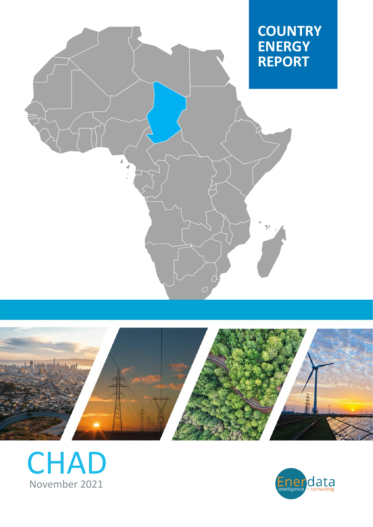





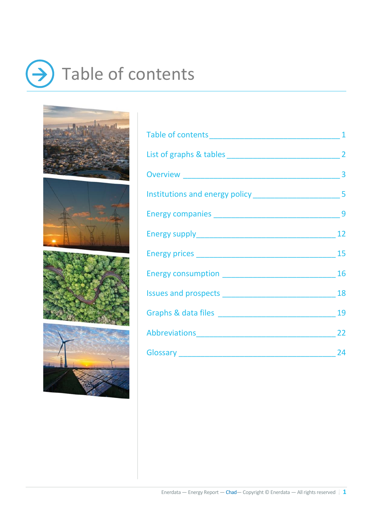# $\rightarrow$  Table of contents









| Abbreviations 22 |  |
|------------------|--|
| Glossary 24      |  |